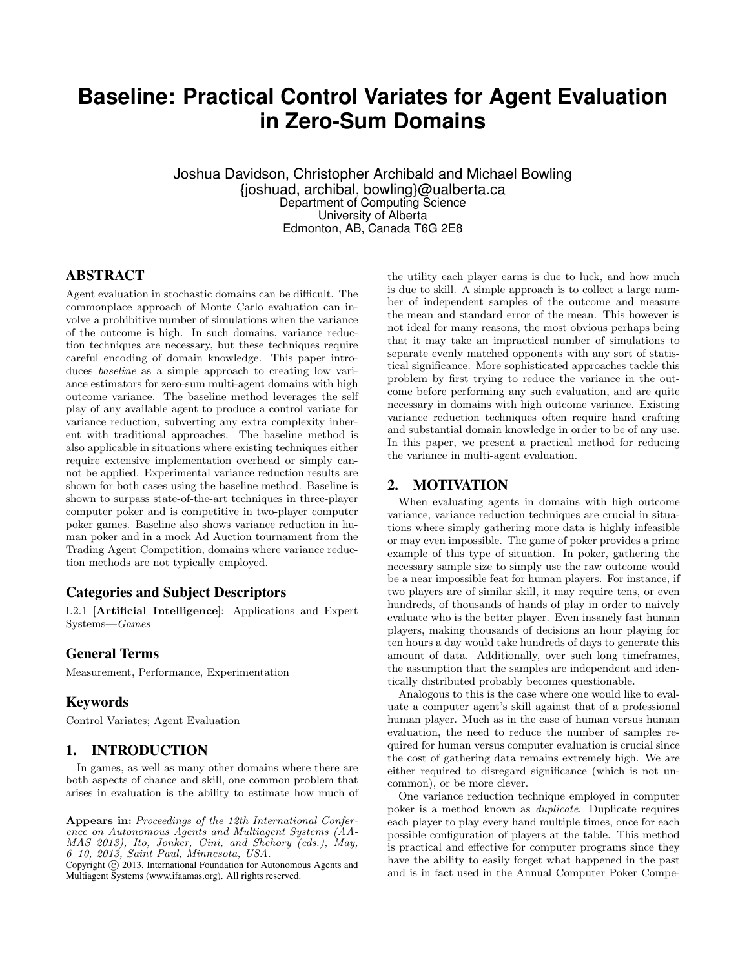# **Baseline: Practical Control Variates for Agent Evaluation in Zero-Sum Domains**

Joshua Davidson, Christopher Archibald and Michael Bowling {joshuad, archibal, bowling}@ualberta.ca Department of Computing Science University of Alberta Edmonton, AB, Canada T6G 2E8

# ABSTRACT

Agent evaluation in stochastic domains can be difficult. The commonplace approach of Monte Carlo evaluation can involve a prohibitive number of simulations when the variance of the outcome is high. In such domains, variance reduction techniques are necessary, but these techniques require careful encoding of domain knowledge. This paper introduces *baseline* as a simple approach to creating low variance estimators for zero-sum multi-agent domains with high outcome variance. The baseline method leverages the self play of any available agent to produce a control variate for variance reduction, subverting any extra complexity inherent with traditional approaches. The baseline method is also applicable in situations where existing techniques either require extensive implementation overhead or simply cannot be applied. Experimental variance reduction results are shown for both cases using the baseline method. Baseline is shown to surpass state-of-the-art techniques in three-player computer poker and is competitive in two-player computer poker games. Baseline also shows variance reduction in human poker and in a mock Ad Auction tournament from the Trading Agent Competition, domains where variance reduction methods are not typically employed.

## Categories and Subject Descriptors

I.2.1 [Artificial Intelligence]: Applications and Expert Systems—Games

## General Terms

Measurement, Performance, Experimentation

# Keywords

Control Variates; Agent Evaluation

## 1. INTRODUCTION

In games, as well as many other domains where there are both aspects of chance and skill, one common problem that arises in evaluation is the ability to estimate how much of

Appears in: Proceedings of the 12th International Conference on Autonomous Agents and Multiagent Systems (AA-MAS 2013), Ito, Jonker, Gini, and Shehory (eds.), May, 6–10, 2013, Saint Paul, Minnesota, USA.

Copyright  $\overline{c}$  2013, International Foundation for Autonomous Agents and Multiagent Systems (www.ifaamas.org). All rights reserved.

the utility each player earns is due to luck, and how much is due to skill. A simple approach is to collect a large number of independent samples of the outcome and measure the mean and standard error of the mean. This however is not ideal for many reasons, the most obvious perhaps being that it may take an impractical number of simulations to separate evenly matched opponents with any sort of statistical significance. More sophisticated approaches tackle this problem by first trying to reduce the variance in the outcome before performing any such evaluation, and are quite necessary in domains with high outcome variance. Existing variance reduction techniques often require hand crafting and substantial domain knowledge in order to be of any use. In this paper, we present a practical method for reducing the variance in multi-agent evaluation.

## 2. MOTIVATION

When evaluating agents in domains with high outcome variance, variance reduction techniques are crucial in situations where simply gathering more data is highly infeasible or may even impossible. The game of poker provides a prime example of this type of situation. In poker, gathering the necessary sample size to simply use the raw outcome would be a near impossible feat for human players. For instance, if two players are of similar skill, it may require tens, or even hundreds, of thousands of hands of play in order to naively evaluate who is the better player. Even insanely fast human players, making thousands of decisions an hour playing for ten hours a day would take hundreds of days to generate this amount of data. Additionally, over such long timeframes, the assumption that the samples are independent and identically distributed probably becomes questionable.

Analogous to this is the case where one would like to evaluate a computer agent's skill against that of a professional human player. Much as in the case of human versus human evaluation, the need to reduce the number of samples required for human versus computer evaluation is crucial since the cost of gathering data remains extremely high. We are either required to disregard significance (which is not uncommon), or be more clever.

One variance reduction technique employed in computer poker is a method known as duplicate. Duplicate requires each player to play every hand multiple times, once for each possible configuration of players at the table. This method is practical and effective for computer programs since they have the ability to easily forget what happened in the past and is in fact used in the Annual Computer Poker Compe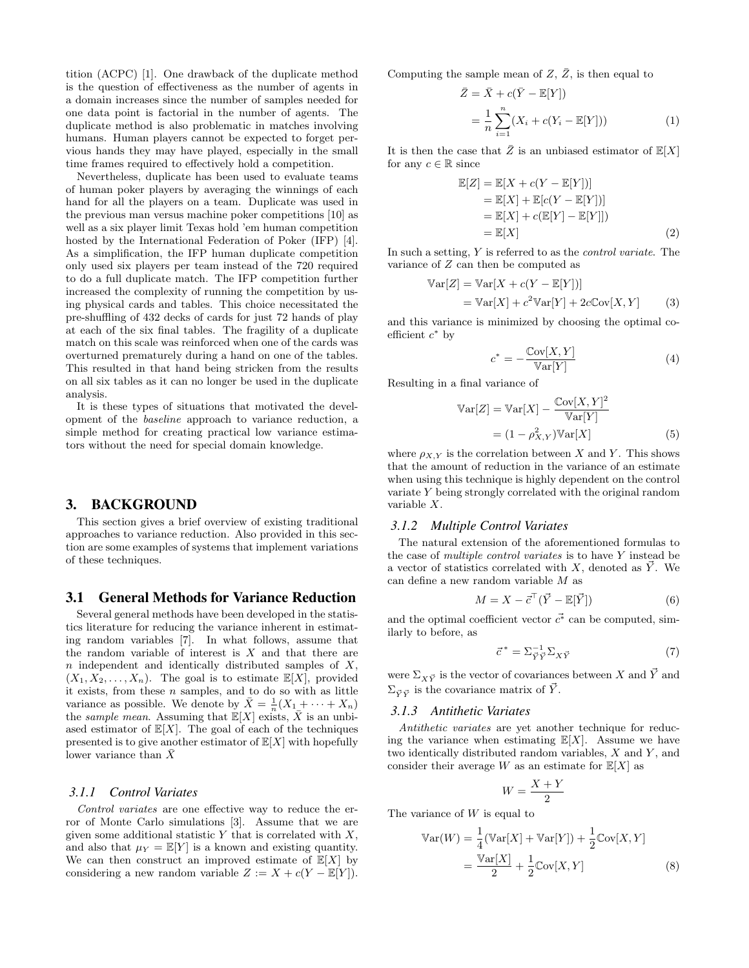tition (ACPC) [1]. One drawback of the duplicate method is the question of effectiveness as the number of agents in a domain increases since the number of samples needed for one data point is factorial in the number of agents. The duplicate method is also problematic in matches involving humans. Human players cannot be expected to forget pervious hands they may have played, especially in the small time frames required to effectively hold a competition.

Nevertheless, duplicate has been used to evaluate teams of human poker players by averaging the winnings of each hand for all the players on a team. Duplicate was used in the previous man versus machine poker competitions [10] as well as a six player limit Texas hold 'em human competition hosted by the International Federation of Poker (IFP) [4]. As a simplification, the IFP human duplicate competition only used six players per team instead of the 720 required to do a full duplicate match. The IFP competition further increased the complexity of running the competition by using physical cards and tables. This choice necessitated the pre-shuffling of 432 decks of cards for just 72 hands of play at each of the six final tables. The fragility of a duplicate match on this scale was reinforced when one of the cards was overturned prematurely during a hand on one of the tables. This resulted in that hand being stricken from the results on all six tables as it can no longer be used in the duplicate analysis.

It is these types of situations that motivated the development of the baseline approach to variance reduction, a simple method for creating practical low variance estimators without the need for special domain knowledge.

## 3. BACKGROUND

This section gives a brief overview of existing traditional approaches to variance reduction. Also provided in this section are some examples of systems that implement variations of these techniques.

## 3.1 General Methods for Variance Reduction

Several general methods have been developed in the statistics literature for reducing the variance inherent in estimating random variables [7]. In what follows, assume that the random variable of interest is  $X$  and that there are  $n$  independent and identically distributed samples of  $X$ ,  $(X_1, X_2, \ldots, X_n)$ . The goal is to estimate  $\mathbb{E}[X]$ , provided it exists, from these  $n$  samples, and to do so with as little variance as possible. We denote by  $\bar{X} = \frac{1}{n}(X_1 + \cdots + X_n)$ the sample mean. Assuming that  $\mathbb{E}[X]$  exists, X is an unbiased estimator of  $\mathbb{E}[X]$ . The goal of each of the techniques presented is to give another estimator of  $\mathbb{E}[X]$  with hopefully lower variance than  $X$ 

#### *3.1.1 Control Variates*

Control variates are one effective way to reduce the error of Monte Carlo simulations [3]. Assume that we are given some additional statistic  $Y$  that is correlated with  $X$ , and also that  $\mu_Y = \mathbb{E}[Y]$  is a known and existing quantity. We can then construct an improved estimate of  $\mathbb{E}[X]$  by considering a new random variable  $Z := X + c(Y - \mathbb{E}[Y]).$  Computing the sample mean of  $Z, \bar{Z}$ , is then equal to

$$
\bar{Z} = \bar{X} + c(\bar{Y} - \mathbb{E}[Y])
$$

$$
= \frac{1}{n} \sum_{i=1}^{n} (X_i + c(Y_i - \mathbb{E}[Y])) \tag{1}
$$

It is then the case that  $\bar{Z}$  is an unbiased estimator of  $\mathbb{E}[X]$ for any  $c \in \mathbb{R}$  since

$$
\mathbb{E}[Z] = \mathbb{E}[X + c(Y - \mathbb{E}[Y])]
$$
  
\n
$$
= \mathbb{E}[X] + \mathbb{E}[c(Y - \mathbb{E}[Y])]
$$
  
\n
$$
= \mathbb{E}[X] + c(\mathbb{E}[Y] - \mathbb{E}[Y]])
$$
  
\n
$$
= \mathbb{E}[X]
$$
\n(2)

In such a setting,  $Y$  is referred to as the *control variate*. The variance of Z can then be computed as

$$
\begin{aligned} \mathbb{V}\text{ar}[Z] &= \mathbb{V}\text{ar}[X + c(Y - \mathbb{E}[Y])] \\ &= \mathbb{V}\text{ar}[X] + c^2 \mathbb{V}\text{ar}[Y] + 2c\mathbb{C}\text{ov}[X, Y] \end{aligned} \tag{3}
$$

and this variance is minimized by choosing the optimal coefficient  $c^*$  by

$$
c^* = -\frac{\text{Cov}[X, Y]}{\text{Var}[Y]} \tag{4}
$$

Resulting in a final variance of

$$
\mathbb{V}\text{ar}[Z] = \mathbb{V}\text{ar}[X] - \frac{\mathbb{C}\text{ov}[X, Y]^2}{\mathbb{V}\text{ar}[Y]}
$$

$$
= (1 - \rho_{X,Y}^2)\mathbb{V}\text{ar}[X] \tag{5}
$$

where  $\rho_{X,Y}$  is the correlation between X and Y. This shows that the amount of reduction in the variance of an estimate when using this technique is highly dependent on the control variate Y being strongly correlated with the original random variable X.

#### *3.1.2 Multiple Control Variates*

The natural extension of the aforementioned formulas to the case of multiple control variates is to have Y instead be a vector of statistics correlated with X, denoted as  $\overrightarrow{Y}$ . We can define a new random variable M as

$$
M = X - \vec{c}^{\top}(\vec{Y} - \mathbb{E}[\vec{Y}])
$$
\n(6)

and the optimal coefficient vector  $\vec{c}^*$  can be computed, similarly to before, as

$$
\vec{c}^* = \Sigma_{\vec{Y}\vec{Y}}^{-1} \Sigma_{X\vec{Y}} \tag{7}
$$

were  $\Sigma_{X\vec{Y}}$  is the vector of covariances between X and  $\vec{Y}$  and  $\Sigma_{\vec{v}\cdot\vec{v}}$  is the covariance matrix of  $\vec{Y}$ .

#### *3.1.3 Antithetic Variates*

Antithetic variates are yet another technique for reducing the variance when estimating  $\mathbb{E}[X]$ . Assume we have two identically distributed random variables,  $X$  and  $Y$ , and consider their average W as an estimate for  $\mathbb{E}[X]$  as

$$
W = \frac{X+Y}{2}
$$

The variance of  $W$  is equal to

$$
\operatorname{Var}(W) = \frac{1}{4} (\operatorname{Var}[X] + \operatorname{Var}[Y]) + \frac{1}{2} \operatorname{Cov}[X, Y]
$$

$$
= \frac{\operatorname{Var}[X]}{2} + \frac{1}{2} \operatorname{Cov}[X, Y] \tag{8}
$$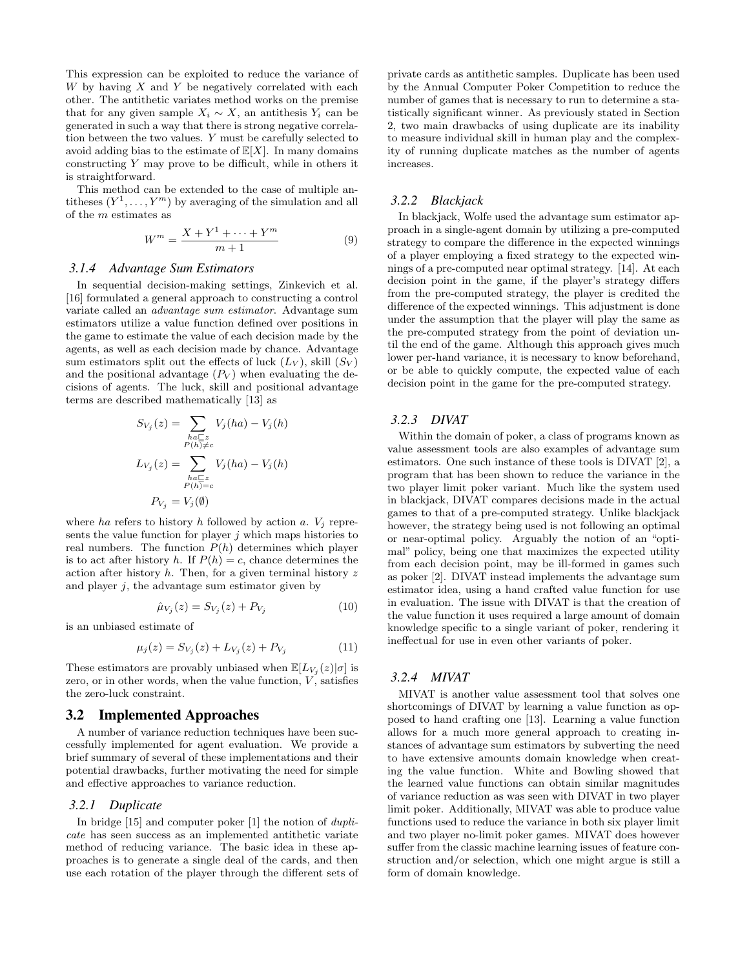This expression can be exploited to reduce the variance of W by having  $X$  and  $Y$  be negatively correlated with each other. The antithetic variates method works on the premise that for any given sample  $X_i \sim X$ , an antithesis  $Y_i$  can be generated in such a way that there is strong negative correlation between the two values. Y must be carefully selected to avoid adding bias to the estimate of  $\mathbb{E}[X]$ . In many domains constructing Y may prove to be difficult, while in others it is straightforward.

This method can be extended to the case of multiple antitheses  $(Y^1, \ldots, Y^m)$  by averaging of the simulation and all of the  $m$  estimates as

$$
W^{m} = \frac{X + Y^{1} + \dots + Y^{m}}{m + 1}
$$
 (9)

## *3.1.4 Advantage Sum Estimators*

In sequential decision-making settings, Zinkevich et al. [16] formulated a general approach to constructing a control variate called an advantage sum estimator. Advantage sum estimators utilize a value function defined over positions in the game to estimate the value of each decision made by the agents, as well as each decision made by chance. Advantage sum estimators split out the effects of luck  $(L_V)$ , skill  $(S_V)$ and the positional advantage  $(P_V)$  when evaluating the decisions of agents. The luck, skill and positional advantage terms are described mathematically [13] as

$$
S_{V_j}(z) = \sum_{\substack{ha \sqsubseteq z \\ P(h) \neq c}} V_j(ha) - V_j(h)
$$

$$
L_{V_j}(z) = \sum_{\substack{ha \sqsubseteq z \\ P(h) = c}} V_j(ha) - V_j(h)
$$

$$
P_{V_j} = V_j(\emptyset)
$$

where ha refers to history h followed by action a.  $V_i$  represents the value function for player  $j$  which maps histories to real numbers. The function  $P(h)$  determines which player is to act after history h. If  $P(h) = c$ , chance determines the action after history  $h$ . Then, for a given terminal history  $z$ and player  $j$ , the advantage sum estimator given by

$$
\hat{\mu}_{V_j}(z) = S_{V_j}(z) + P_{V_j} \tag{10}
$$

is an unbiased estimate of

$$
\mu_j(z) = S_{V_j}(z) + L_{V_j}(z) + P_{V_j} \tag{11}
$$

These estimators are provably unbiased when  $\mathbb{E}[L_{V_j}(z)|\sigma]$  is zero, or in other words, when the value function,  $V$ , satisfies the zero-luck constraint.

#### 3.2 Implemented Approaches

A number of variance reduction techniques have been successfully implemented for agent evaluation. We provide a brief summary of several of these implementations and their potential drawbacks, further motivating the need for simple and effective approaches to variance reduction.

#### *3.2.1 Duplicate*

In bridge [15] and computer poker [1] the notion of duplicate has seen success as an implemented antithetic variate method of reducing variance. The basic idea in these approaches is to generate a single deal of the cards, and then use each rotation of the player through the different sets of private cards as antithetic samples. Duplicate has been used by the Annual Computer Poker Competition to reduce the number of games that is necessary to run to determine a statistically significant winner. As previously stated in Section 2, two main drawbacks of using duplicate are its inability to measure individual skill in human play and the complexity of running duplicate matches as the number of agents increases.

#### *3.2.2 Blackjack*

In blackjack, Wolfe used the advantage sum estimator approach in a single-agent domain by utilizing a pre-computed strategy to compare the difference in the expected winnings of a player employing a fixed strategy to the expected winnings of a pre-computed near optimal strategy. [14]. At each decision point in the game, if the player's strategy differs from the pre-computed strategy, the player is credited the difference of the expected winnings. This adjustment is done under the assumption that the player will play the same as the pre-computed strategy from the point of deviation until the end of the game. Although this approach gives much lower per-hand variance, it is necessary to know beforehand, or be able to quickly compute, the expected value of each decision point in the game for the pre-computed strategy.

#### *3.2.3 DIVAT*

Within the domain of poker, a class of programs known as value assessment tools are also examples of advantage sum estimators. One such instance of these tools is DIVAT [2], a program that has been shown to reduce the variance in the two player limit poker variant. Much like the system used in blackjack, DIVAT compares decisions made in the actual games to that of a pre-computed strategy. Unlike blackjack however, the strategy being used is not following an optimal or near-optimal policy. Arguably the notion of an "optimal" policy, being one that maximizes the expected utility from each decision point, may be ill-formed in games such as poker [2]. DIVAT instead implements the advantage sum estimator idea, using a hand crafted value function for use in evaluation. The issue with DIVAT is that the creation of the value function it uses required a large amount of domain knowledge specific to a single variant of poker, rendering it ineffectual for use in even other variants of poker.

#### *3.2.4 MIVAT*

MIVAT is another value assessment tool that solves one shortcomings of DIVAT by learning a value function as opposed to hand crafting one [13]. Learning a value function allows for a much more general approach to creating instances of advantage sum estimators by subverting the need to have extensive amounts domain knowledge when creating the value function. White and Bowling showed that the learned value functions can obtain similar magnitudes of variance reduction as was seen with DIVAT in two player limit poker. Additionally, MIVAT was able to produce value functions used to reduce the variance in both six player limit and two player no-limit poker games. MIVAT does however suffer from the classic machine learning issues of feature construction and/or selection, which one might argue is still a form of domain knowledge.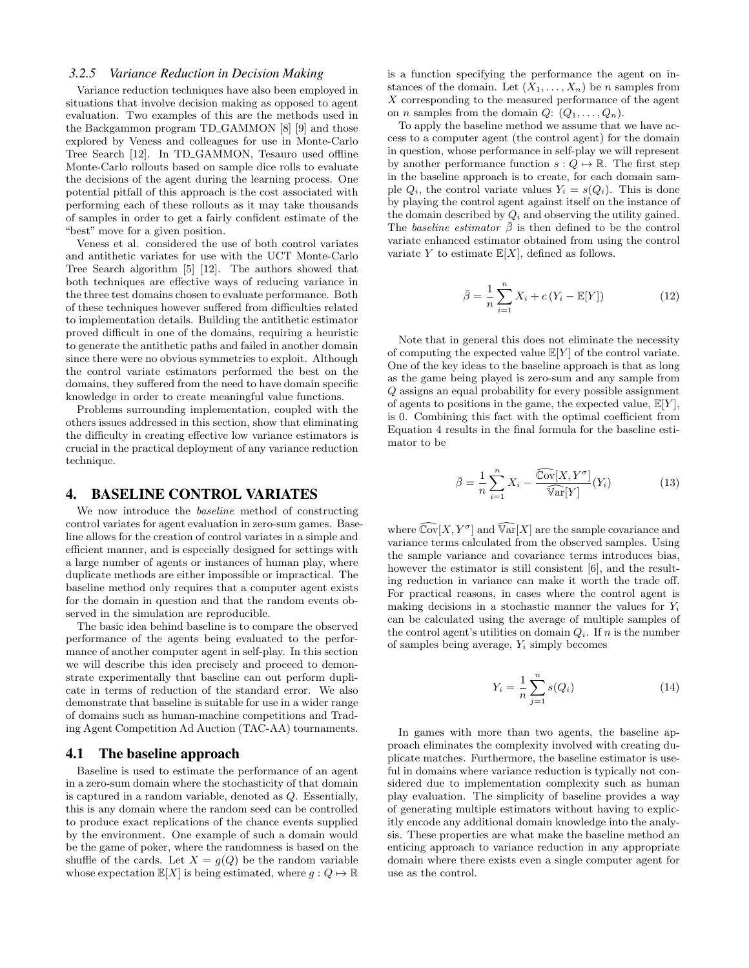#### *3.2.5 Variance Reduction in Decision Making*

Variance reduction techniques have also been employed in situations that involve decision making as opposed to agent evaluation. Two examples of this are the methods used in the Backgammon program TD GAMMON [8] [9] and those explored by Veness and colleagues for use in Monte-Carlo Tree Search [12]. In TD GAMMON, Tesauro used offline Monte-Carlo rollouts based on sample dice rolls to evaluate the decisions of the agent during the learning process. One potential pitfall of this approach is the cost associated with performing each of these rollouts as it may take thousands of samples in order to get a fairly confident estimate of the "best" move for a given position.

Veness et al. considered the use of both control variates and antithetic variates for use with the UCT Monte-Carlo Tree Search algorithm [5] [12]. The authors showed that both techniques are effective ways of reducing variance in the three test domains chosen to evaluate performance. Both of these techniques however suffered from difficulties related to implementation details. Building the antithetic estimator proved difficult in one of the domains, requiring a heuristic to generate the antithetic paths and failed in another domain since there were no obvious symmetries to exploit. Although the control variate estimators performed the best on the domains, they suffered from the need to have domain specific knowledge in order to create meaningful value functions.

Problems surrounding implementation, coupled with the others issues addressed in this section, show that eliminating the difficulty in creating effective low variance estimators is crucial in the practical deployment of any variance reduction technique.

## 4. BASELINE CONTROL VARIATES

We now introduce the baseline method of constructing control variates for agent evaluation in zero-sum games. Baseline allows for the creation of control variates in a simple and efficient manner, and is especially designed for settings with a large number of agents or instances of human play, where duplicate methods are either impossible or impractical. The baseline method only requires that a computer agent exists for the domain in question and that the random events observed in the simulation are reproducible.

The basic idea behind baseline is to compare the observed performance of the agents being evaluated to the performance of another computer agent in self-play. In this section we will describe this idea precisely and proceed to demonstrate experimentally that baseline can out perform duplicate in terms of reduction of the standard error. We also demonstrate that baseline is suitable for use in a wider range of domains such as human-machine competitions and Trading Agent Competition Ad Auction (TAC-AA) tournaments.

#### 4.1 The baseline approach

Baseline is used to estimate the performance of an agent in a zero-sum domain where the stochasticity of that domain is captured in a random variable, denoted as Q. Essentially, this is any domain where the random seed can be controlled to produce exact replications of the chance events supplied by the environment. One example of such a domain would be the game of poker, where the randomness is based on the shuffle of the cards. Let  $X = g(Q)$  be the random variable whose expectation  $\mathbb{E}[X]$  is being estimated, where  $g: Q \mapsto \mathbb{R}$  is a function specifying the performance the agent on instances of the domain. Let  $(X_1, \ldots, X_n)$  be n samples from X corresponding to the measured performance of the agent on *n* samples from the domain  $Q: (Q_1, \ldots, Q_n)$ .

To apply the baseline method we assume that we have access to a computer agent (the control agent) for the domain in question, whose performance in self-play we will represent by another performance function  $s: Q \mapsto \mathbb{R}$ . The first step in the baseline approach is to create, for each domain sample  $Q_i$ , the control variate values  $Y_i = s(Q_i)$ . This is done by playing the control agent against itself on the instance of the domain described by  $Q_i$  and observing the utility gained. The baseline estimator  $\bar{\beta}$  is then defined to be the control variate enhanced estimator obtained from using the control variate Y to estimate  $\mathbb{E}[X]$ , defined as follows.

$$
\bar{\beta} = \frac{1}{n} \sum_{i=1}^{n} X_i + c (Y_i - \mathbb{E}[Y])
$$
\n(12)

Note that in general this does not eliminate the necessity of computing the expected value  $\mathbb{E}[Y]$  of the control variate. One of the key ideas to the baseline approach is that as long as the game being played is zero-sum and any sample from Q assigns an equal probability for every possible assignment of agents to positions in the game, the expected value,  $\mathbb{E}[Y]$ , is 0. Combining this fact with the optimal coefficient from Equation 4 results in the final formula for the baseline estimator to be

$$
\bar{\beta} = \frac{1}{n} \sum_{i=1}^{n} X_i - \frac{\widehat{\mathbb{C}\text{ov}}[X, Y^{\sigma}]}{\widehat{\mathbb{V}\text{ar}}[Y]}(Y_i)
$$
(13)

where  $\widehat{\mathbb{C}\mathrm{ov}}[X, Y^\sigma]$  and  $\widehat{\mathbb{Var}}[X]$  are the sample covariance and variance terms calculated from the observed samples. Using the sample variance and covariance terms introduces bias, however the estimator is still consistent [6], and the resulting reduction in variance can make it worth the trade off. For practical reasons, in cases where the control agent is making decisions in a stochastic manner the values for  $Y_i$ can be calculated using the average of multiple samples of the control agent's utilities on domain  $Q_i$ . If n is the number of samples being average,  $Y_i$  simply becomes

$$
Y_i = \frac{1}{n} \sum_{j=1}^{n} s(Q_i)
$$
 (14)

In games with more than two agents, the baseline approach eliminates the complexity involved with creating duplicate matches. Furthermore, the baseline estimator is useful in domains where variance reduction is typically not considered due to implementation complexity such as human play evaluation. The simplicity of baseline provides a way of generating multiple estimators without having to explicitly encode any additional domain knowledge into the analysis. These properties are what make the baseline method an enticing approach to variance reduction in any appropriate domain where there exists even a single computer agent for use as the control.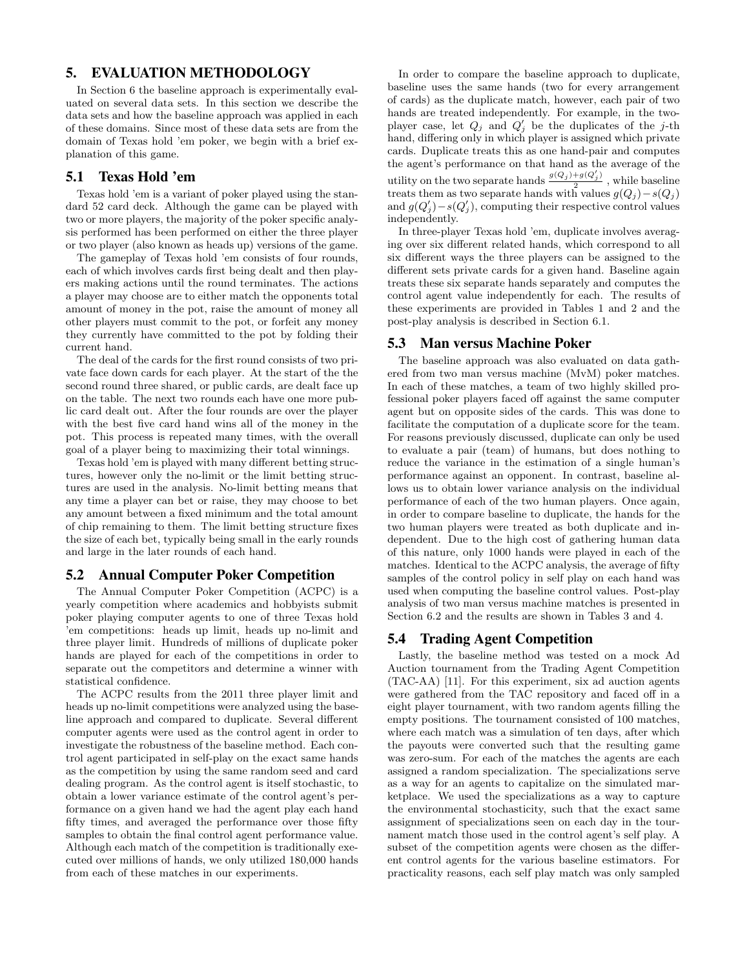## 5. EVALUATION METHODOLOGY

In Section 6 the baseline approach is experimentally evaluated on several data sets. In this section we describe the data sets and how the baseline approach was applied in each of these domains. Since most of these data sets are from the domain of Texas hold 'em poker, we begin with a brief explanation of this game.

## 5.1 Texas Hold 'em

Texas hold 'em is a variant of poker played using the standard 52 card deck. Although the game can be played with two or more players, the majority of the poker specific analysis performed has been performed on either the three player or two player (also known as heads up) versions of the game.

The gameplay of Texas hold 'em consists of four rounds, each of which involves cards first being dealt and then players making actions until the round terminates. The actions a player may choose are to either match the opponents total amount of money in the pot, raise the amount of money all other players must commit to the pot, or forfeit any money they currently have committed to the pot by folding their current hand.

The deal of the cards for the first round consists of two private face down cards for each player. At the start of the the second round three shared, or public cards, are dealt face up on the table. The next two rounds each have one more public card dealt out. After the four rounds are over the player with the best five card hand wins all of the money in the pot. This process is repeated many times, with the overall goal of a player being to maximizing their total winnings.

Texas hold 'em is played with many different betting structures, however only the no-limit or the limit betting structures are used in the analysis. No-limit betting means that any time a player can bet or raise, they may choose to bet any amount between a fixed minimum and the total amount of chip remaining to them. The limit betting structure fixes the size of each bet, typically being small in the early rounds and large in the later rounds of each hand.

## 5.2 Annual Computer Poker Competition

The Annual Computer Poker Competition (ACPC) is a yearly competition where academics and hobbyists submit poker playing computer agents to one of three Texas hold 'em competitions: heads up limit, heads up no-limit and three player limit. Hundreds of millions of duplicate poker hands are played for each of the competitions in order to separate out the competitors and determine a winner with statistical confidence.

The ACPC results from the 2011 three player limit and heads up no-limit competitions were analyzed using the baseline approach and compared to duplicate. Several different computer agents were used as the control agent in order to investigate the robustness of the baseline method. Each control agent participated in self-play on the exact same hands as the competition by using the same random seed and card dealing program. As the control agent is itself stochastic, to obtain a lower variance estimate of the control agent's performance on a given hand we had the agent play each hand fifty times, and averaged the performance over those fifty samples to obtain the final control agent performance value. Although each match of the competition is traditionally executed over millions of hands, we only utilized 180,000 hands from each of these matches in our experiments.

In order to compare the baseline approach to duplicate, baseline uses the same hands (two for every arrangement of cards) as the duplicate match, however, each pair of two hands are treated independently. For example, in the twoplayer case, let  $Q_j$  and  $Q'_j$  be the duplicates of the j-th hand, differing only in which player is assigned which private cards. Duplicate treats this as one hand-pair and computes the agent's performance on that hand as the average of the utility on the two separate hands  $\frac{g(Q_j)+g(Q'_j)}{2}$  $\frac{1}{2}$  while baseline treats them as two separate hands with values  $g(Q_i) - s(Q_i)$ and  $g(Q'_j) - s(Q'_j)$ , computing their respective control values independently.

In three-player Texas hold 'em, duplicate involves averaging over six different related hands, which correspond to all six different ways the three players can be assigned to the different sets private cards for a given hand. Baseline again treats these six separate hands separately and computes the control agent value independently for each. The results of these experiments are provided in Tables 1 and 2 and the post-play analysis is described in Section 6.1.

#### 5.3 Man versus Machine Poker

The baseline approach was also evaluated on data gathered from two man versus machine (MvM) poker matches. In each of these matches, a team of two highly skilled professional poker players faced off against the same computer agent but on opposite sides of the cards. This was done to facilitate the computation of a duplicate score for the team. For reasons previously discussed, duplicate can only be used to evaluate a pair (team) of humans, but does nothing to reduce the variance in the estimation of a single human's performance against an opponent. In contrast, baseline allows us to obtain lower variance analysis on the individual performance of each of the two human players. Once again, in order to compare baseline to duplicate, the hands for the two human players were treated as both duplicate and independent. Due to the high cost of gathering human data of this nature, only 1000 hands were played in each of the matches. Identical to the ACPC analysis, the average of fifty samples of the control policy in self play on each hand was used when computing the baseline control values. Post-play analysis of two man versus machine matches is presented in Section 6.2 and the results are shown in Tables 3 and 4.

## 5.4 Trading Agent Competition

Lastly, the baseline method was tested on a mock Ad Auction tournament from the Trading Agent Competition (TAC-AA) [11]. For this experiment, six ad auction agents were gathered from the TAC repository and faced off in a eight player tournament, with two random agents filling the empty positions. The tournament consisted of 100 matches, where each match was a simulation of ten days, after which the payouts were converted such that the resulting game was zero-sum. For each of the matches the agents are each assigned a random specialization. The specializations serve as a way for an agents to capitalize on the simulated marketplace. We used the specializations as a way to capture the environmental stochasticity, such that the exact same assignment of specializations seen on each day in the tournament match those used in the control agent's self play. A subset of the competition agents were chosen as the different control agents for the various baseline estimators. For practicality reasons, each self play match was only sampled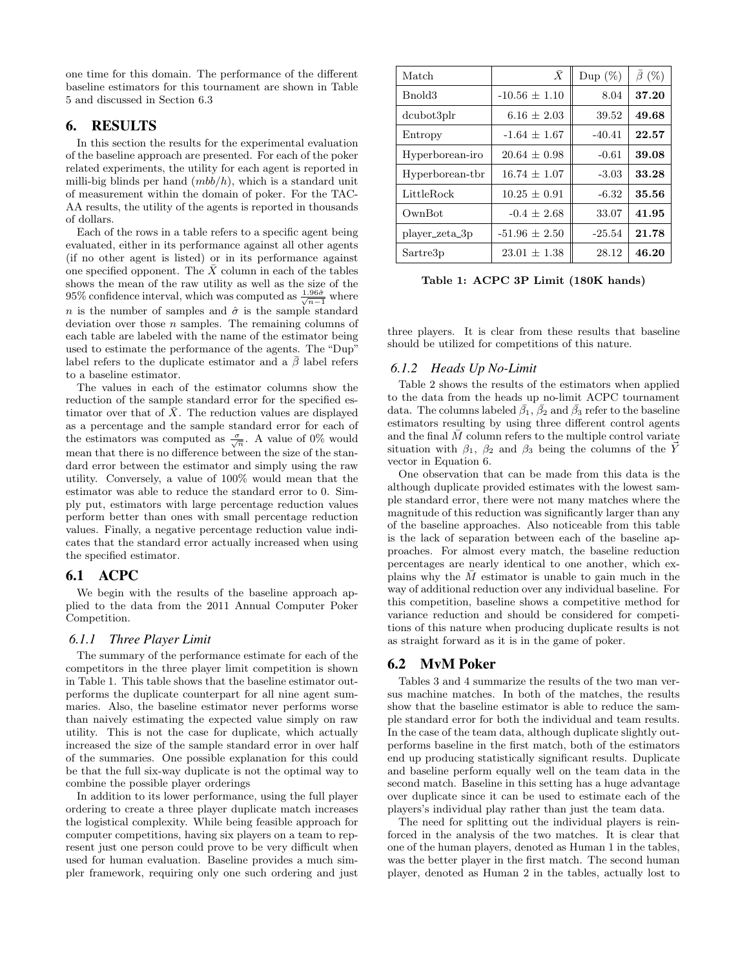one time for this domain. The performance of the different baseline estimators for this tournament are shown in Table 5 and discussed in Section 6.3

## 6. RESULTS

In this section the results for the experimental evaluation of the baseline approach are presented. For each of the poker related experiments, the utility for each agent is reported in milli-big blinds per hand  $(mbb/h)$ , which is a standard unit of measurement within the domain of poker. For the TAC-AA results, the utility of the agents is reported in thousands of dollars.

Each of the rows in a table refers to a specific agent being evaluated, either in its performance against all other agents (if no other agent is listed) or in its performance against one specified opponent. The  $\bar{X}$  column in each of the tables shows the mean of the raw utility as well as the size of the 95% confidence interval, which was computed as  $\frac{1.96\hat{\sigma}}{\sqrt{n-1}}$  where n is the number of samples and  $\hat{\sigma}$  is the sample standard deviation over those  $n$  samples. The remaining columns of each table are labeled with the name of the estimator being used to estimate the performance of the agents. The "Dup" label refers to the duplicate estimator and a  $\bar{\beta}$  label refers to a baseline estimator.

The values in each of the estimator columns show the reduction of the sample standard error for the specified estimator over that of  $\bar{X}$ . The reduction values are displayed as a percentage and the sample standard error for each of the estimators was computed as  $\frac{\sigma}{\sqrt{n}}$ . A value of 0% would mean that there is no difference between the size of the standard error between the estimator and simply using the raw utility. Conversely, a value of 100% would mean that the estimator was able to reduce the standard error to 0. Simply put, estimators with large percentage reduction values perform better than ones with small percentage reduction values. Finally, a negative percentage reduction value indicates that the standard error actually increased when using the specified estimator.

## 6.1 ACPC

We begin with the results of the baseline approach applied to the data from the 2011 Annual Computer Poker Competition.

## *6.1.1 Three Player Limit*

The summary of the performance estimate for each of the competitors in the three player limit competition is shown in Table 1. This table shows that the baseline estimator outperforms the duplicate counterpart for all nine agent summaries. Also, the baseline estimator never performs worse than naively estimating the expected value simply on raw utility. This is not the case for duplicate, which actually increased the size of the sample standard error in over half of the summaries. One possible explanation for this could be that the full six-way duplicate is not the optimal way to combine the possible player orderings

In addition to its lower performance, using the full player ordering to create a three player duplicate match increases the logistical complexity. While being feasible approach for computer competitions, having six players on a team to represent just one person could prove to be very difficult when used for human evaluation. Baseline provides a much simpler framework, requiring only one such ordering and just

| Match           | $\bar{X}$         | Dup $(\%)$ | $\bar{\beta}$ (%) |
|-----------------|-------------------|------------|-------------------|
| Bnold3          | $-10.56 \pm 1.10$ | 8.04       | 37.20             |
| dcubot3plr      | $6.16 \pm 2.03$   | 39.52      | 49.68             |
| Entropy         | $-1.64 \pm 1.67$  | $-40.41$   | 22.57             |
| Hyperborean-iro | $20.64 \pm 0.98$  | $-0.61$    | 39.08             |
| Hyperborean-tbr | $16.74 \pm 1.07$  | $-3.03$    | 33.28             |
| LittleRock      | $10.25 \pm 0.91$  | $-6.32$    | 35.56             |
| OwnBot          | $-0.4 \pm 2.68$   | 33.07      | 41.95             |
| player_zeta_3p  | $-51.96 \pm 2.50$ | $-25.54$   | 21.78             |
| Sartre3p        | $23.01 \pm 1.38$  | 28.12      | 46.20             |

Table 1: ACPC 3P Limit (180K hands)

three players. It is clear from these results that baseline should be utilized for competitions of this nature.

## *6.1.2 Heads Up No-Limit*

Table 2 shows the results of the estimators when applied to the data from the heads up no-limit ACPC tournament data. The columns labeled  $\bar{\beta}_1$ ,  $\bar{\beta}_2$  and  $\bar{\beta}_3$  refer to the baseline estimators resulting by using three different control agents and the final  $\overline{M}$  column refers to the multiple control variate situation with  $\beta_1$ ,  $\beta_2$  and  $\beta_3$  being the columns of the  $\vec{Y}$ vector in Equation 6.

One observation that can be made from this data is the although duplicate provided estimates with the lowest sample standard error, there were not many matches where the magnitude of this reduction was significantly larger than any of the baseline approaches. Also noticeable from this table is the lack of separation between each of the baseline approaches. For almost every match, the baseline reduction percentages are nearly identical to one another, which explains why the  $\overline{M}$  estimator is unable to gain much in the way of additional reduction over any individual baseline. For this competition, baseline shows a competitive method for variance reduction and should be considered for competitions of this nature when producing duplicate results is not as straight forward as it is in the game of poker.

## 6.2 MvM Poker

Tables 3 and 4 summarize the results of the two man versus machine matches. In both of the matches, the results show that the baseline estimator is able to reduce the sample standard error for both the individual and team results. In the case of the team data, although duplicate slightly outperforms baseline in the first match, both of the estimators end up producing statistically significant results. Duplicate and baseline perform equally well on the team data in the second match. Baseline in this setting has a huge advantage over duplicate since it can be used to estimate each of the players's individual play rather than just the team data.

The need for splitting out the individual players is reinforced in the analysis of the two matches. It is clear that one of the human players, denoted as Human 1 in the tables, was the better player in the first match. The second human player, denoted as Human 2 in the tables, actually lost to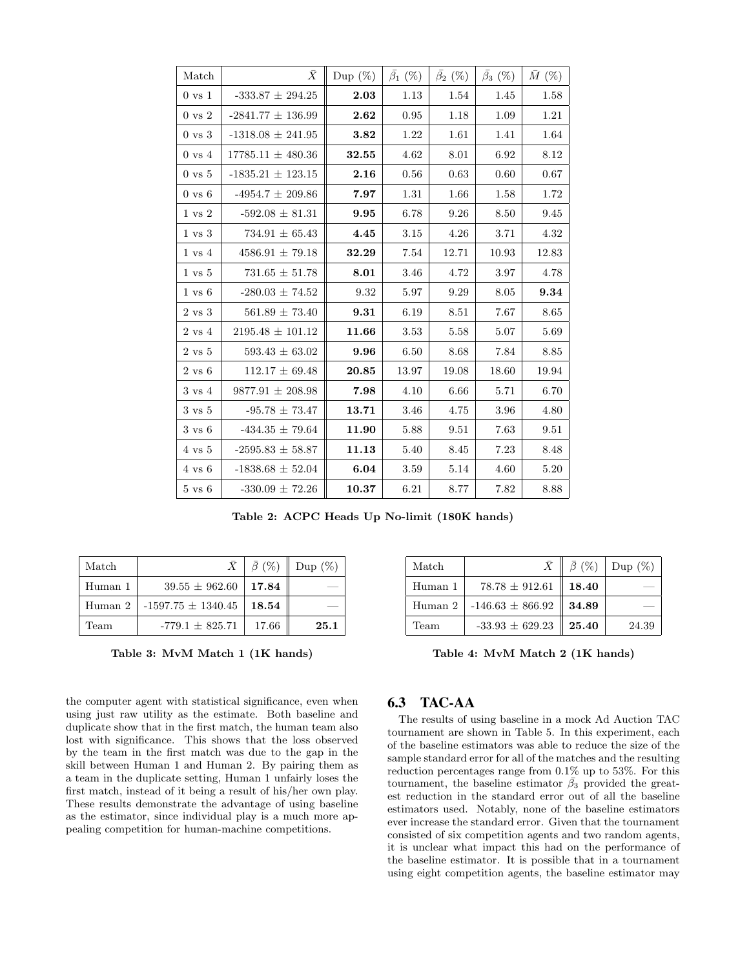| Match             | $\bar{X}$             | Dup $(\%)$ | $\bar{\beta_1}$ (%) | $\bar{\beta_2}$ (%) | $\bar{\beta_3}$ (%) | $\bar{M}$ (%) |
|-------------------|-----------------------|------------|---------------------|---------------------|---------------------|---------------|
| $0 \text{ vs } 1$ | -333.87 $\pm$ 294.25  | 2.03       | 1.13                | $1.54\,$            | 1.45                | 1.58          |
| $0 \text{ vs } 2$ | $-2841.77 \pm 136.99$ | 2.62       | 0.95                | 1.18                | 1.09                | 1.21          |
| $0 \text{ vs } 3$ | $-1318.08 \pm 241.95$ | 3.82       | 1.22                | 1.61                | 1.41                | 1.64          |
| $0 \text{ vs } 4$ | $17785.11 \pm 480.36$ | 32.55      | 4.62                | 8.01                | 6.92                | 8.12          |
| $0 \text{ vs } 5$ | $-1835.21 \pm 123.15$ | 2.16       | 0.56                | 0.63                | 0.60                | 0.67          |
| $0 \text{ vs } 6$ | $-4954.7 \pm 209.86$  | 7.97       | 1.31                | 1.66                | 1.58                | 1.72          |
| $1 \text{ vs } 2$ | $-592.08 \pm 81.31$   | 9.95       | 6.78                | 9.26                | 8.50                | 9.45          |
| $1 \text{ vs } 3$ | $734.91 \pm 65.43$    | 4.45       | 3.15                | 4.26                | 3.71                | 4.32          |
| $1 \text{ vs } 4$ | $4586.91 \pm 79.18$   | 32.29      | 7.54                | 12.71               | 10.93               | 12.83         |
| $1 \text{ vs } 5$ | $731.65\,\pm\,51.78$  | 8.01       | 3.46                | 4.72                | 3.97                | 4.78          |
| $1 \text{ vs } 6$ | $-280.03 \pm 74.52$   | 9.32       | 5.97                | 9.29                | 8.05                | 9.34          |
| $2 \text{ vs } 3$ | $561.89 \pm 73.40$    | 9.31       | 6.19                | 8.51                | 7.67                | 8.65          |
| $2 \text{ vs } 4$ | $2195.48 \pm 101.12$  | 11.66      | 3.53                | 5.58                | 5.07                | 5.69          |
| $2 \text{ vs } 5$ | $593.43 \pm 63.02$    | 9.96       | 6.50                | 8.68                | 7.84                | 8.85          |
| $2 \text{ vs } 6$ | $112.17 \pm 69.48$    | 20.85      | 13.97               | 19.08               | 18.60               | 19.94         |
| $3 \text{ vs } 4$ | $9877.91 \pm 208.98$  | 7.98       | 4.10                | 6.66                | 5.71                | 6.70          |
| $3 \text{ vs } 5$ | $-95.78 \pm 73.47$    | 13.71      | 3.46                | 4.75                | 3.96                | 4.80          |
| $3 \text{ vs } 6$ | $-434.35 \pm 79.64$   | 11.90      | 5.88                | 9.51                | 7.63                | 9.51          |
| $4 \text{ vs } 5$ | $-2595.83 \pm 58.87$  | 11.13      | 5.40                | 8.45                | 7.23                | 8.48          |
| $4 \text{ vs } 6$ | $-1838.68 \pm 52.04$  | 6.04       | $3.59\,$            | 5.14                | 4.60                | 5.20          |
| $5 \text{ vs } 6$ | $-330.09 \pm 72.26$   | 10.37      | 6.21                | 8.77                | 7.82                | 8.88          |

Table 2: ACPC Heads Up No-limit (180K hands)

| Match   |                        | $\bar{X}$   $\bar{\beta}$ (%) | Dup $(\%)$ |
|---------|------------------------|-------------------------------|------------|
| Human 1 | $39.55 \pm 962.60$     | 17.84                         |            |
| Human 2 | $-1597.75 \pm 1340.45$ | $\boldsymbol{18.54}$          |            |
| Team    | $-779.1 + 825.71$      | 17.66                         | 25.1       |

Table 3: MvM Match 1 (1K hands)

the computer agent with statistical significance, even when using just raw utility as the estimate. Both baseline and duplicate show that in the first match, the human team also lost with significance. This shows that the loss observed by the team in the first match was due to the gap in the skill between Human 1 and Human 2. By pairing them as a team in the duplicate setting, Human 1 unfairly loses the first match, instead of it being a result of his/her own play. These results demonstrate the advantage of using baseline as the estimator, since individual play is a much more appealing competition for human-machine competitions.

| Match   |                      | $\bar{X} \parallel \bar{\beta}$ (%) | Dup $(\%)$ |
|---------|----------------------|-------------------------------------|------------|
| Human 1 | $78.78 \pm 912.61$   | 18.40                               |            |
| Human 2 | $-146.63 \pm 866.92$ | 34.89                               |            |
| Team    | $-33.93 \pm 629.23$  | $\parallel 25.40$                   | 24.39      |

Table 4: MvM Match 2 (1K hands)

## 6.3 TAC-AA

The results of using baseline in a mock Ad Auction TAC tournament are shown in Table 5. In this experiment, each of the baseline estimators was able to reduce the size of the sample standard error for all of the matches and the resulting reduction percentages range from 0.1% up to 53%. For this tournament, the baseline estimator  $\beta_3$  provided the greatest reduction in the standard error out of all the baseline estimators used. Notably, none of the baseline estimators ever increase the standard error. Given that the tournament consisted of six competition agents and two random agents, it is unclear what impact this had on the performance of the baseline estimator. It is possible that in a tournament using eight competition agents, the baseline estimator may